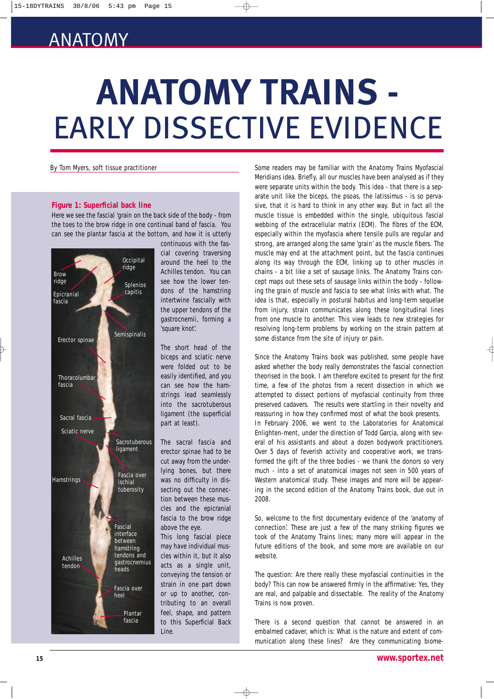# ANATOMY

# **ANATOMY TRAINS -** EARLY DISSECTIVE EVIDENCE

#### **Figure 1: Superficial back line**

Here we see the fascial 'grain on the back side of the body - from the toes to the brow ridge in one continual band of fascia. You can see the plantar fascia at the bottom, and how it is utterly



continuous with the fascial covering traversing around the heel to the Achilles tendon. You can see how the lower tendons of the hamstring intertwine fascially with the upper tendons of the gastrocnemii, forming a 'square knot'.

The short head of the biceps and sciatic nerve were folded out to be easily identified, and you can see how the hamstrings lead seamlessly into the sacrotuberous ligament (the superficial part at least).

The sacral fascia and erector spinae had to be cut away from the underlying bones, but there was no difficulty in dissecting out the connection between these muscles and the epicranial fascia to the brow ridge above the eye.

This long fascial piece may have individual muscles within it, but it also acts as a single unit, conveying the tension or strain in one part down or up to another, contributing to an overall feel, shape, and pattern to this Superficial Back Line.

 $\overline{\bigoplus}$ 

By Tom Myers, soft tissue practitioner Some readers may be familiar with the Anatomy Trains Myofascial Meridians idea. Briefly, all our muscles have been analysed as if they were separate units within the body. This idea - that there is a separate unit like the biceps, the psoas, the latissimus - is so pervasive, that it is hard to think in any other way. But in fact all the muscle tissue is embedded within the single, ubiquitous fascial webbing of the extracellular matrix (ECM). The fibres of the ECM, especially within the myofascia where tensile pulls are regular and strong, are arranged along the same 'grain' as the muscle fibers. The muscle may end at the attachment point, but the fascia continues along its way through the ECM, linking up to other muscles in chains - a bit like a set of sausage links. The Anatomy Trains concept maps out these sets of sausage links within the body - following the grain of muscle and fascia to see what links with what. The idea is that, especially in postural habitus and long-term sequelae from injury, strain communicates along these longitudinal lines from one muscle to another. This view leads to new strategies for resolving long-term problems by working on the strain pattern at some distance from the site of injury or pain.

> Since the Anatomy Trains book was published, some people have asked whether the body really demonstrates the fascial connection theorised in the book. I am therefore excited to present for the first time, a few of the photos from a recent dissection in which we attempted to dissect portions of myofascial continuity from three preserved cadavers. The results were startling in their novelty and reassuring in how they confirmed most of what the book presents. In February 2006, we went to the Laboratories for Anatomical Enlighten-ment, under the direction of Todd Garcia, along with several of his assistants and about a dozen bodywork practitioners. Over 5 days of feverish activity and cooperative work, we transformed the gift of the three bodies - we thank the donors so very much - into a set of anatomical images not seen in 500 years of Western anatomical study. These images and more will be appearing in the second edition of the Anatomy Trains book, due out in 2008.

> So, welcome to the first documentary evidence of the 'anatomy of connection'. These are just a few of the many striking figures we took of the Anatomy Trains lines; many more will appear in the future editions of the book, and some more are available on our website.

> The question: Are there really these myofascial continuities in the body? This can now be answered firmly in the affirmative: Yes, they are real, and palpable and dissectable. The reality of the Anatomy Trains is now proven.

> There is a second question that cannot be answered in an embalmed cadaver, which is: What is the nature and extent of communication along these lines? Are they communicating biome-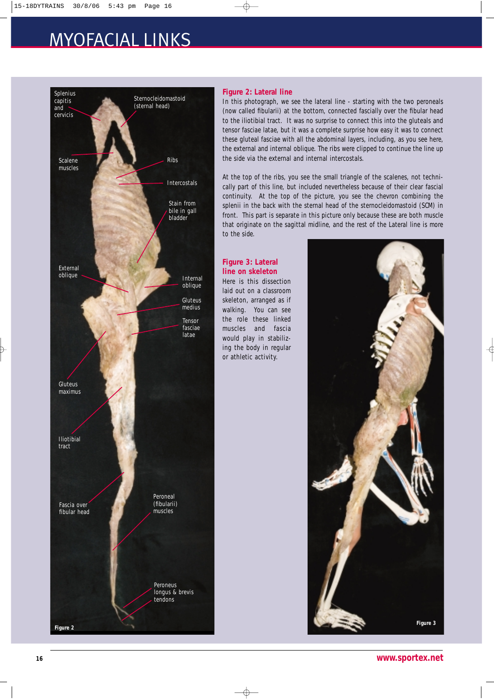## MYOFACIAL LINKS



#### **Figure 2: Lateral line**

In this photograph, we see the lateral line - starting with the two peroneals (now called fibularii) at the bottom, connected fascially over the fibular head to the iliotibial tract. It was no surprise to connect this into the gluteals and tensor fasciae latae, but it was a complete surprise how easy it was to connect these gluteal fasciae with all the abdominal layers, including, as you see here, the external and internal oblique. The ribs were clipped to continue the line up the side via the external and internal intercostals.

At the top of the ribs, you see the small triangle of the scalenes, not technically part of this line, but included nevertheless because of their clear fascial continuity. At the top of the picture, you see the chevron combining the splenii in the back with the sternal head of the sternocleidomastoid (SCM) in front. This part is separate in this picture only because these are both muscle that originate on the sagittal midline, and the rest of the Lateral line is more to the side.

#### **Figure 3: Lateral line on skeleton**

Here is this dissection laid out on a classroom skeleton, arranged as if walking. You can see the role these linked muscles and fascia would play in stabilizing the body in regular or athletic activity.



€

**<sup>16</sup> www.sportex.net**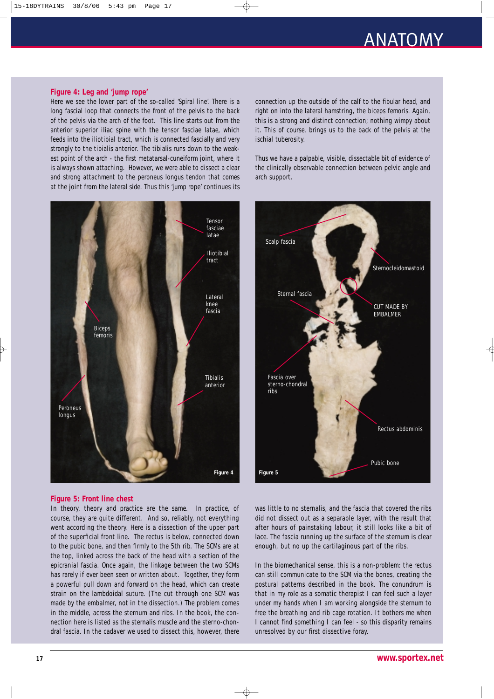## ANATOMY

#### **Figure 4: Leg and 'jump rope'**

Here we see the lower part of the so-called 'Spiral line'. There is a long fascial loop that connects the front of the pelvis to the back of the pelvis via the arch of the foot. This line starts out from the anterior superior iliac spine with the tensor fasciae latae, which feeds into the iliotibial tract, which is connected fascially and very strongly to the tibialis anterior. The tibialis runs down to the weakest point of the arch - the first metatarsal-cuneiform joint, where it is always shown attaching. However, we were able to dissect a clear and strong attachment to the peroneus longus tendon that comes at the joint from the lateral side. Thus this 'jump rope' continues its connection up the outside of the calf to the fibular head, and right on into the lateral hamstring, the biceps femoris. Again, this is a strong and distinct connection; nothing wimpy about it. This of course, brings us to the back of the pelvis at the ischial tuberosity.

Thus we have a palpable, visible, dissectable bit of evidence of the clinically observable connection between pelvic angle and arch support.





#### **Figure 5: Front line chest**

In theory, theory and practice are the same. In practice, of course, they are quite different. And so, reliably, not everything went according the theory. Here is a dissection of the upper part of the superficial front line. The rectus is below, connected down to the pubic bone, and then firmly to the 5th rib. The SCMs are at the top, linked across the back of the head with a section of the epicranial fascia. Once again, the linkage between the two SCMs has rarely if ever been seen or written about. Together, they form a powerful pull down and forward on the head, which can create strain on the lambdoidal suture. (The cut through one SCM was made by the embalmer, not in the dissection.) The problem comes in the middle, across the sternum and ribs. In the book, the connection here is listed as the sternalis muscle and the sterno-chondral fascia. In the cadaver we used to dissect this, however, there was little to no sternalis, and the fascia that covered the ribs did not dissect out as a separable layer, with the result that after hours of painstaking labour, it still looks like a bit of lace. The fascia running up the surface of the sternum is clear enough, but no up the cartilaginous part of the ribs.

In the biomechanical sense, this is a non-problem: the rectus can still communicate to the SCM via the bones, creating the postural patterns described in the book. The conundrum is that in my role as a somatic therapist I can feel such a layer under my hands when I am working alongside the sternum to free the breathing and rib cage rotation. It bothers me when I cannot find something I can feel - so this disparity remains unresolved by our first dissective foray.